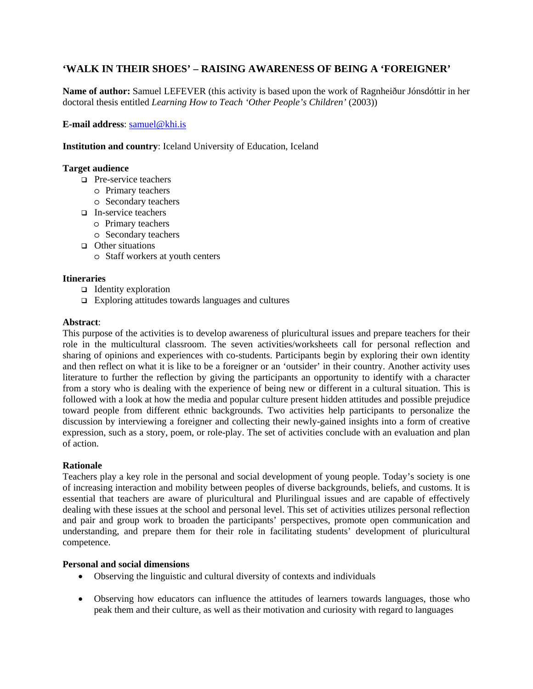# **'WALK IN THEIR SHOES' – RAISING AWARENESS OF BEING A 'FOREIGNER'**

**Name of author:** Samuel LEFEVER (this activity is based upon the work of Ragnheiður Jónsdóttir in her doctoral thesis entitled *Learning How to Teach 'Other People's Children'* (2003))

**E-mail address**: samuel@khi.is

**Institution and country**: Iceland University of Education, Iceland

## **Target audience**

- □ Pre-service teachers
	- o Primary teachers
	- o Secondary teachers
- $\Box$  In-service teachers
	- o Primary teachers
	- o Secondary teachers
- $\Box$  Other situations
	- o Staff workers at youth centers

## **Itineraries**

- $\Box$  Identity exploration
- $\Box$  Exploring attitudes towards languages and cultures

### **Abstract**:

This purpose of the activities is to develop awareness of pluricultural issues and prepare teachers for their role in the multicultural classroom. The seven activities/worksheets call for personal reflection and sharing of opinions and experiences with co-students. Participants begin by exploring their own identity and then reflect on what it is like to be a foreigner or an 'outsider' in their country. Another activity uses literature to further the reflection by giving the participants an opportunity to identify with a character from a story who is dealing with the experience of being new or different in a cultural situation. This is followed with a look at how the media and popular culture present hidden attitudes and possible prejudice toward people from different ethnic backgrounds. Two activities help participants to personalize the discussion by interviewing a foreigner and collecting their newly-gained insights into a form of creative expression, such as a story, poem, or role-play. The set of activities conclude with an evaluation and plan of action.

### **Rationale**

Teachers play a key role in the personal and social development of young people. Today's society is one of increasing interaction and mobility between peoples of diverse backgrounds, beliefs, and customs. It is essential that teachers are aware of pluricultural and Plurilingual issues and are capable of effectively dealing with these issues at the school and personal level. This set of activities utilizes personal reflection and pair and group work to broaden the participants' perspectives, promote open communication and understanding, and prepare them for their role in facilitating students' development of pluricultural competence.

### **Personal and social dimensions**

- Observing the linguistic and cultural diversity of contexts and individuals
- Observing how educators can influence the attitudes of learners towards languages, those who peak them and their culture, as well as their motivation and curiosity with regard to languages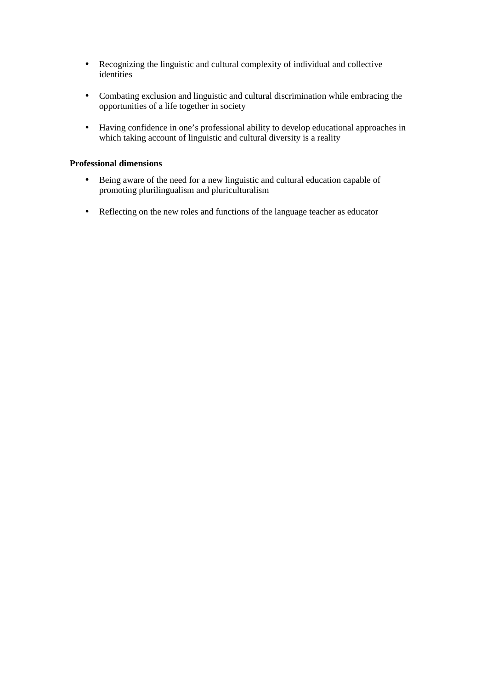- Recognizing the linguistic and cultural complexity of individual and collective identities
- Combating exclusion and linguistic and cultural discrimination while embracing the opportunities of a life together in society
- Having confidence in one's professional ability to develop educational approaches in which taking account of linguistic and cultural diversity is a reality

## **Professional dimensions**

- Being aware of the need for a new linguistic and cultural education capable of promoting plurilingualism and pluriculturalism
- Reflecting on the new roles and functions of the language teacher as educator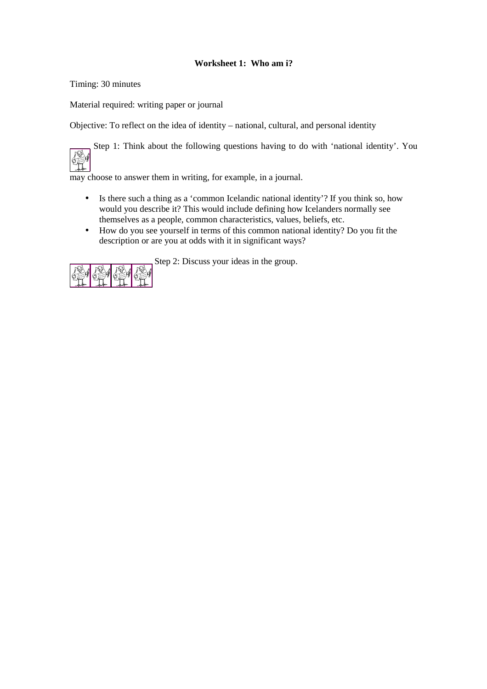# **Worksheet 1: Who am i?**

Timing: 30 minutes

Material required: writing paper or journal

Objective: To reflect on the idea of identity – national, cultural, and personal identity

 Step 1: Think about the following questions having to do with 'national identity'. You **Leg** 

may choose to answer them in writing, for example, in a journal.

- Is there such a thing as a 'common Icelandic national identity'? If you think so, how would you describe it? This would include defining how Icelanders normally see themselves as a people, common characteristics, values, beliefs, etc.
- How do you see yourself in terms of this common national identity? Do you fit the description or are you at odds with it in significant ways?



Step 2: Discuss your ideas in the group.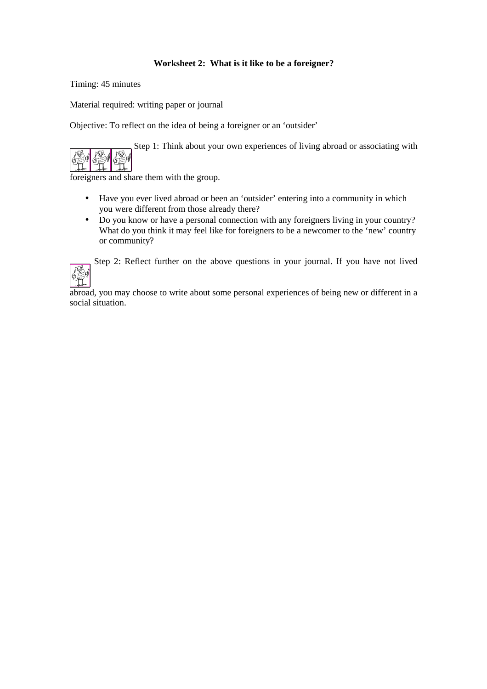# **Worksheet 2: What is it like to be a foreigner?**

Timing: 45 minutes

Material required: writing paper or journal

Objective: To reflect on the idea of being a foreigner or an 'outsider'

Step 1: Think about your own experiences of living abroad or associating with



foreigners and share them with the group.

- Have you ever lived abroad or been an 'outsider' entering into a community in which
- you were different from those already there? • Do you know or have a personal connection with any foreigners living in your country? What do you think it may feel like for foreigners to be a newcomer to the 'new' country or community?

Step 2: Reflect further on the above questions in your journal. If you have not lived

abroad, you may choose to write about some personal experiences of being new or different in a social situation.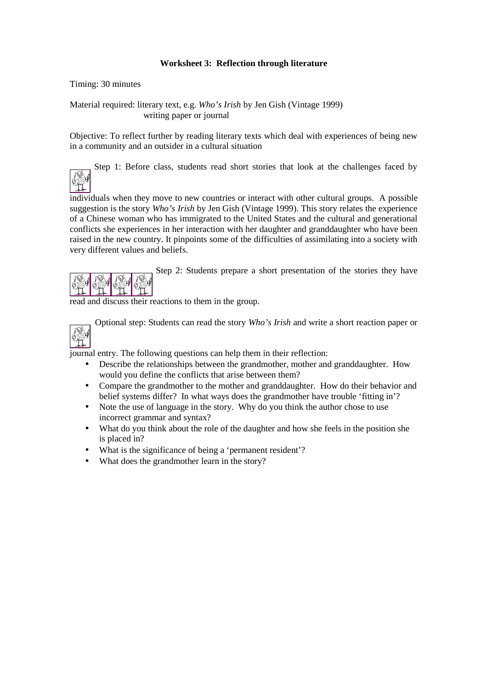# **Worksheet 3: Reflection through literature**

Timing: 30 minutes

Material required: literary text, e.g. *Who's Irish* by Jen Gish (Vintage 1999) writing paper or journal

Objective: To reflect further by reading literary texts which deal with experiences of being new in a community and an outsider in a cultural situation

Step 1: Before class, students read short stories that look at the challenges faced by

individuals when they move to new countries or interact with other cultural groups. A possible suggestion is the story *Who's Irish* by Jen Gish (Vintage 1999). This story relates the experience of a Chinese woman who has immigrated to the United States and the cultural and generational conflicts she experiences in her interaction with her daughter and granddaughter who have been raised in the new country. It pinpoints some of the difficulties of assimilating into a society with very different values and beliefs.



Step 2: Students prepare a short presentation of the stories they have

read and discuss their reactions to them in the group.



陭

Optional step: Students can read the story *Who's Irish* and write a short reaction paper or

journal entry. The following questions can help them in their reflection:

- Describe the relationships between the grandmother, mother and granddaughter. How would you define the conflicts that arise between them?
- Compare the grandmother to the mother and granddaughter. How do their behavior and belief systems differ? In what ways does the grandmother have trouble 'fitting in'?
- Note the use of language in the story. Why do you think the author chose to use incorrect grammar and syntax?
- What do you think about the role of the daughter and how she feels in the position she is placed in?
- What is the significance of being a 'permanent resident'?
- What does the grandmother learn in the story?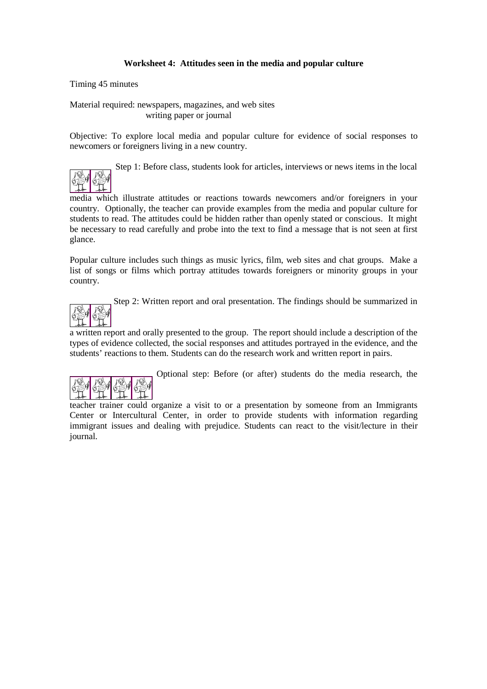# **Worksheet 4: Attitudes seen in the media and popular culture**

Timing 45 minutes

Material required: newspapers, magazines, and web sites writing paper or journal

Objective: To explore local media and popular culture for evidence of social responses to newcomers or foreigners living in a new country.

Step 1: Before class, students look for articles, interviews or news items in the local

media which illustrate attitudes or reactions towards newcomers and/or foreigners in your country. Optionally, the teacher can provide examples from the media and popular culture for students to read. The attitudes could be hidden rather than openly stated or conscious. It might be necessary to read carefully and probe into the text to find a message that is not seen at first glance.

Popular culture includes such things as music lyrics, film, web sites and chat groups. Make a list of songs or films which portray attitudes towards foreigners or minority groups in your country.

Step 2: Written report and oral presentation. The findings should be summarized in

a written report and orally presented to the group. The report should include a description of the types of evidence collected, the social responses and attitudes portrayed in the evidence, and the students' reactions to them. Students can do the research work and written report in pairs.



Optional step: Before (or after) students do the media research, the

teacher trainer could organize a visit to or a presentation by someone from an Immigrants Center or Intercultural Center, in order to provide students with information regarding immigrant issues and dealing with prejudice. Students can react to the visit/lecture in their journal.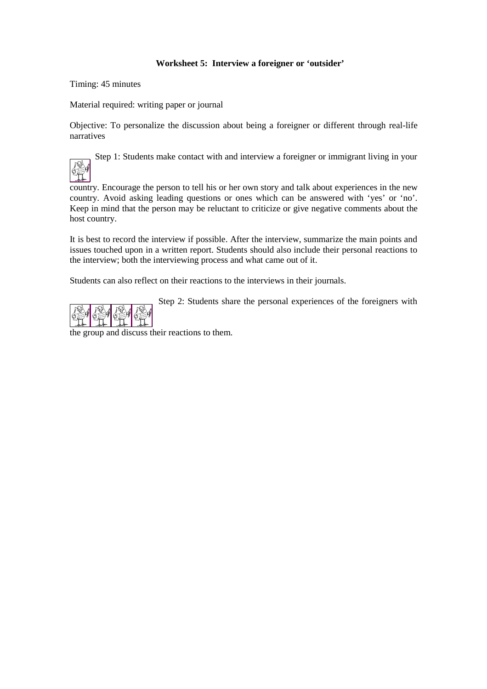# **Worksheet 5: Interview a foreigner or 'outsider'**

Timing: 45 minutes

Material required: writing paper or journal

Objective: To personalize the discussion about being a foreigner or different through real-life narratives

Step 1: Students make contact with and interview a foreigner or immigrant living in your

country. Encourage the person to tell his or her own story and talk about experiences in the new country. Avoid asking leading questions or ones which can be answered with 'yes' or 'no'. Keep in mind that the person may be reluctant to criticize or give negative comments about the host country.

It is best to record the interview if possible. After the interview, summarize the main points and issues touched upon in a written report. Students should also include their personal reactions to the interview; both the interviewing process and what came out of it.

Students can also reflect on their reactions to the interviews in their journals.

Step 2: Students share the personal experiences of the foreigners with



the group and discuss their reactions to them.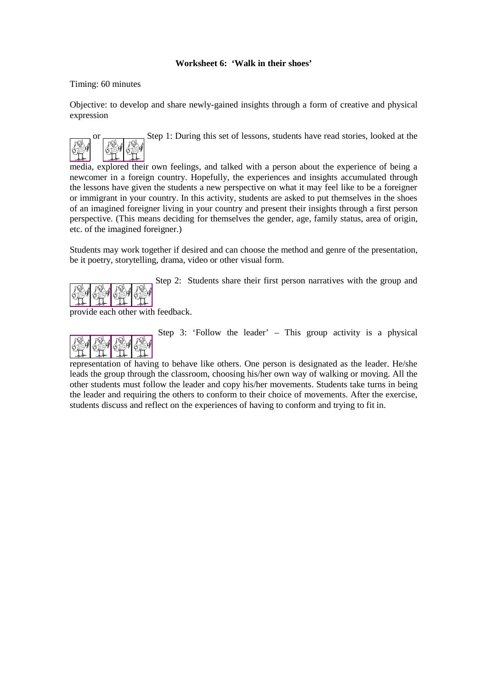# **Worksheet 6: 'Walk in their shoes'**

## Timing: 60 minutes

Objective: to develop and share newly-gained insights through a form of creative and physical expression



Step 1: During this set of lessons, students have read stories, looked at the

media, explored their own feelings, and talked with a person about the experience of being a newcomer in a foreign country. Hopefully, the experiences and insights accumulated through the lessons have given the students a new perspective on what it may feel like to be a foreigner or immigrant in your country. In this activity, students are asked to put themselves in the shoes of an imagined foreigner living in your country and present their insights through a first person perspective. (This means deciding for themselves the gender, age, family status, area of origin, etc. of the imagined foreigner.)

Students may work together if desired and can choose the method and genre of the presentation, be it poetry, storytelling, drama, video or other visual form.



Step 2: Students share their first person narratives with the group and

provide each other with feedback.



Step 3: 'Follow the leader' – This group activity is a physical

representation of having to behave like others. One person is designated as the leader. He/she leads the group through the classroom, choosing his/her own way of walking or moving. All the other students must follow the leader and copy his/her movements. Students take turns in being the leader and requiring the others to conform to their choice of movements. After the exercise, students discuss and reflect on the experiences of having to conform and trying to fit in.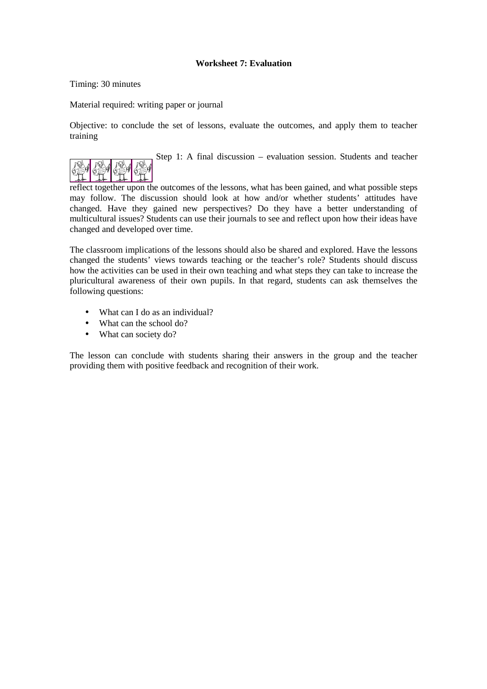# **Worksheet 7: Evaluation**

Timing: 30 minutes

Material required: writing paper or journal

Objective: to conclude the set of lessons, evaluate the outcomes, and apply them to teacher training

Step 1: A final discussion – evaluation session. Students and teacher

reflect together upon the outcomes of the lessons, what has been gained, and what possible steps may follow. The discussion should look at how and/or whether students' attitudes have changed. Have they gained new perspectives? Do they have a better understanding of multicultural issues? Students can use their journals to see and reflect upon how their ideas have changed and developed over time.

The classroom implications of the lessons should also be shared and explored. Have the lessons changed the students' views towards teaching or the teacher's role? Students should discuss how the activities can be used in their own teaching and what steps they can take to increase the pluricultural awareness of their own pupils. In that regard, students can ask themselves the following questions:

- What can I do as an individual?
- What can the school do?
- What can society do?

The lesson can conclude with students sharing their answers in the group and the teacher providing them with positive feedback and recognition of their work.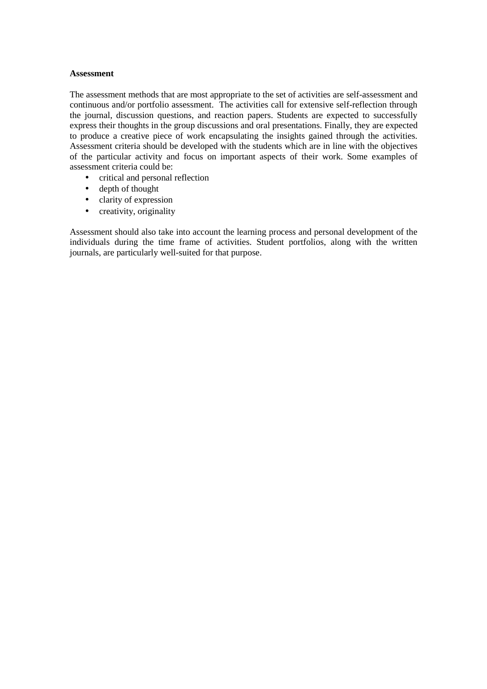### **Assessment**

The assessment methods that are most appropriate to the set of activities are self-assessment and continuous and/or portfolio assessment. The activities call for extensive self-reflection through the journal, discussion questions, and reaction papers. Students are expected to successfully express their thoughts in the group discussions and oral presentations. Finally, they are expected to produce a creative piece of work encapsulating the insights gained through the activities. Assessment criteria should be developed with the students which are in line with the objectives of the particular activity and focus on important aspects of their work. Some examples of assessment criteria could be:

- critical and personal reflection
- depth of thought
- clarity of expression
- creativity, originality

Assessment should also take into account the learning process and personal development of the individuals during the time frame of activities. Student portfolios, along with the written journals, are particularly well-suited for that purpose.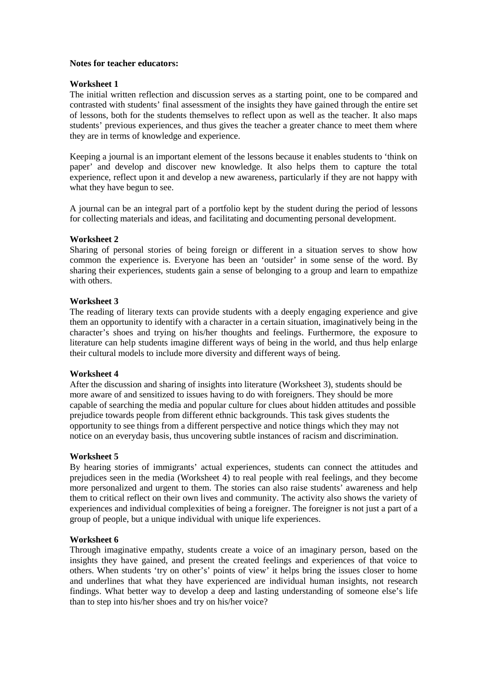## **Notes for teacher educators:**

## **Worksheet 1**

The initial written reflection and discussion serves as a starting point, one to be compared and contrasted with students' final assessment of the insights they have gained through the entire set of lessons, both for the students themselves to reflect upon as well as the teacher. It also maps students' previous experiences, and thus gives the teacher a greater chance to meet them where they are in terms of knowledge and experience.

Keeping a journal is an important element of the lessons because it enables students to 'think on paper' and develop and discover new knowledge. It also helps them to capture the total experience, reflect upon it and develop a new awareness, particularly if they are not happy with what they have begun to see.

A journal can be an integral part of a portfolio kept by the student during the period of lessons for collecting materials and ideas, and facilitating and documenting personal development.

## **Worksheet 2**

Sharing of personal stories of being foreign or different in a situation serves to show how common the experience is. Everyone has been an 'outsider' in some sense of the word. By sharing their experiences, students gain a sense of belonging to a group and learn to empathize with others.

## **Worksheet 3**

The reading of literary texts can provide students with a deeply engaging experience and give them an opportunity to identify with a character in a certain situation, imaginatively being in the character's shoes and trying on his/her thoughts and feelings. Furthermore, the exposure to literature can help students imagine different ways of being in the world, and thus help enlarge their cultural models to include more diversity and different ways of being.

### **Worksheet 4**

After the discussion and sharing of insights into literature (Worksheet 3), students should be more aware of and sensitized to issues having to do with foreigners. They should be more capable of searching the media and popular culture for clues about hidden attitudes and possible prejudice towards people from different ethnic backgrounds. This task gives students the opportunity to see things from a different perspective and notice things which they may not notice on an everyday basis, thus uncovering subtle instances of racism and discrimination.

### **Worksheet 5**

By hearing stories of immigrants' actual experiences, students can connect the attitudes and prejudices seen in the media (Worksheet 4) to real people with real feelings, and they become more personalized and urgent to them. The stories can also raise students' awareness and help them to critical reflect on their own lives and community. The activity also shows the variety of experiences and individual complexities of being a foreigner. The foreigner is not just a part of a group of people, but a unique individual with unique life experiences.

### **Worksheet 6**

Through imaginative empathy, students create a voice of an imaginary person, based on the insights they have gained, and present the created feelings and experiences of that voice to others. When students 'try on other's' points of view' it helps bring the issues closer to home and underlines that what they have experienced are individual human insights, not research findings. What better way to develop a deep and lasting understanding of someone else's life than to step into his/her shoes and try on his/her voice?